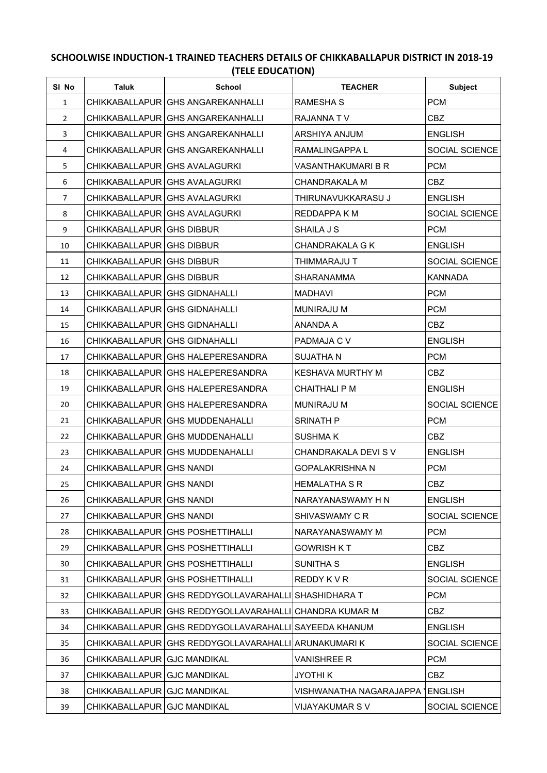## **SCHOOLWISE INDUCTION-1 TRAINED TEACHERS DETAILS OF CHIKKABALLAPUR DISTRICT IN 2018-19 (TELE EDUCATION)**

| SI No          | Taluk                         | <b>School</b>                                            | <b>TEACHER</b>            | <b>Subject</b> |
|----------------|-------------------------------|----------------------------------------------------------|---------------------------|----------------|
| $\mathbf{1}$   |                               | CHIKKABALLAPUR GHS ANGAREKANHALLI                        | RAMESHA S                 | <b>PCM</b>     |
| $\overline{2}$ |                               | CHIKKABALLAPUR   GHS ANGAREKANHALLI                      | RAJANNA TV                | CBZ            |
| 3              |                               | CHIKKABALLAPUR IGHS ANGAREKANHALLI                       | ARSHIYA ANJUM             | <b>ENGLISH</b> |
| 4              |                               | CHIKKABALLAPUR GHS ANGAREKANHALLI                        | RAMALINGAPPA L            | SOCIAL SCIENCE |
| 5              |                               | CHIKKABALLAPUR GHS AVALAGURKI                            | VASANTHAKUMARI B R        | <b>PCM</b>     |
| 6              |                               | CHIKKABALLAPUR GHS AVALAGURKI                            | CHANDRAKALA M             | CBZ.           |
| $\overline{7}$ |                               | CHIKKABALLAPUR GHS AVALAGURKI                            | THIRUNAVUKKARASU J        | <b>ENGLISH</b> |
| 8              |                               | CHIKKABALLAPUR GHS AVALAGURKI                            | REDDAPPA K M              | SOCIAL SCIENCE |
| 9              | CHIKKABALLAPUR GHS DIBBUR     |                                                          | SHAILA J S                | <b>PCM</b>     |
| 10             | CHIKKABALLAPUR GHS DIBBUR     |                                                          | <b>CHANDRAKALA G K</b>    | <b>ENGLISH</b> |
| 11             | CHIKKABALLAPUR GHS DIBBUR     |                                                          | THIMMARAJU T              | SOCIAL SCIENCE |
| 12             | CHIKKABALLAPUR GHS DIBBUR     |                                                          | SHARANAMMA                | <b>KANNADA</b> |
| 13             | CHIKKABALLAPUR GHS GIDNAHALLI |                                                          | MADHAVI                   | <b>PCM</b>     |
| 14             | CHIKKABALLAPUR GHS GIDNAHALLI |                                                          | MUNIRAJU M                | <b>PCM</b>     |
| 15             | CHIKKABALLAPUR GHS GIDNAHALLI |                                                          | ANANDA A                  | CBZ            |
| 16             | CHIKKABALLAPUR GHS GIDNAHALLI |                                                          | PADMAJA C V               | <b>ENGLISH</b> |
| 17             |                               | CHIKKABALLAPUR GHS HALEPERESANDRA                        | SUJATHA N                 | <b>PCM</b>     |
| 18             |                               | CHIKKABALLAPUR GHS HALEPERESANDRA                        | <b>KESHAVA MURTHY M</b>   | <b>CBZ</b>     |
| 19             |                               | CHIKKABALLAPUR GHS HALEPERESANDRA                        | CHAITHALI P M             | <b>ENGLISH</b> |
| 20             |                               | CHIKKABALLAPUR GHS HALEPERESANDRA                        | <b>MUNIRAJU M</b>         | SOCIAL SCIENCE |
| 21             |                               | CHIKKABALLAPUR GHS MUDDENAHALLI                          | SRINATH P                 | <b>PCM</b>     |
| 22             |                               | CHIKKABALLAPUR GHS MUDDENAHALLI                          | SUSHMA K                  | CBZ            |
| 23             |                               | CHIKKABALLAPUR GHS MUDDENAHALLI                          | CHANDRAKALA DEVI S V      | <b>ENGLISH</b> |
| 24             | CHIKKABALLAPUR GHS NANDI      |                                                          | GOPALAKRISHNA N           | <b>PCM</b>     |
| 25             | CHIKKABALLAPUR GHS NANDI      |                                                          | HEMALATHA S R             | <b>CBZ</b>     |
| 26             | CHIKKABALLAPUR GHS NANDI      |                                                          | NARAYANASWAMY H N         | <b>ENGLISH</b> |
| 27             | CHIKKABALLAPUR GHS NANDI      |                                                          | SHIVASWAMY C R            | SOCIAL SCIENCE |
| 28             |                               | CHIKKABALLAPUR   GHS POSHETTIHALLI                       | NARAYANASWAMY M           | <b>PCM</b>     |
| 29             |                               | CHIKKABALLAPUR GHS POSHETTIHALLI                         | <b>GOWRISH KT</b>         | CBZ            |
| 30             |                               | CHIKKABALLAPUR GHS POSHETTIHALLI                         | <b>SUNITHA S</b>          | <b>ENGLISH</b> |
| 31             |                               | CHIKKABALLAPUR GHS POSHETTIHALLI                         | REDDY K V R               | SOCIAL SCIENCE |
| 32             |                               | CHIKKABALLAPUR GHS REDDYGOLLAVARAHALLI SHASHIDHARA T     |                           | <b>PCM</b>     |
| 33             |                               | CHIKKABALLAPUR   GHS REDDYGOLLAVARAHALLI                 | <b>CHANDRA KUMAR M</b>    | <b>CBZ</b>     |
| 34             |                               | CHIKKABALLAPUR GHS REDDYGOLLAVARAHALLI SAYEEDA KHANUM    |                           | <b>ENGLISH</b> |
| 35             |                               | CHIKKABALLAPUR   GHS REDDYGOLLAVARAHALLI   ARUNAKUMARI K |                           | SOCIAL SCIENCE |
| 36             | CHIKKABALLAPUR GJC MANDIKAL   |                                                          | <b>VANISHREE R</b>        | <b>PCM</b>     |
| 37             | CHIKKABALLAPUR GJC MANDIKAL   |                                                          | JYOTHI K                  | <b>CBZ</b>     |
| 38             | CHIKKABALLAPUR GJC MANDIKAL   |                                                          | VISHWANATHA NAGARAJAPPA ) | <b>ENGLISH</b> |
| 39             | CHIKKABALLAPUR GJC MANDIKAL   |                                                          | VIJAYAKUMAR S V           | SOCIAL SCIENCE |